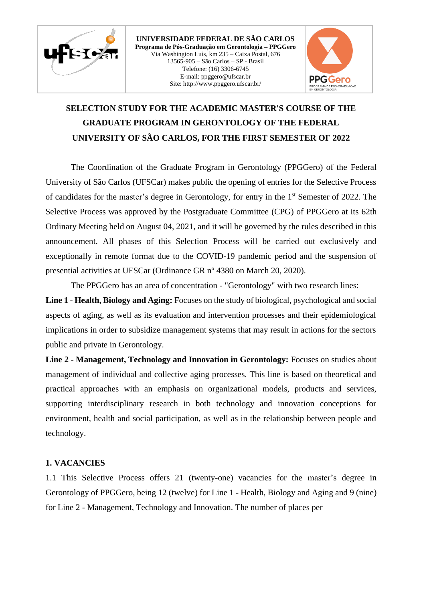

**UNIVERSIDADE FEDERAL DE SÃO CARLOS Programa de Pós-Graduação em Gerontologia – PPGGero** Via Washington Luís, km 235 – Caixa Postal, 676 13565-905 – São Carlos – SP - Brasil Telefone: (16) 3306-6745 E-mail: ppggero@ufscar.br Site: http://www.ppggero.ufscar.br/



# **SELECTION STUDY FOR THE ACADEMIC MASTER'S COURSE OF THE GRADUATE PROGRAM IN GERONTOLOGY OF THE FEDERAL UNIVERSITY OF SÃO CARLOS, FOR THE FIRST SEMESTER OF 2022**

The Coordination of the Graduate Program in Gerontology (PPGGero) of the Federal University of São Carlos (UFSCar) makes public the opening of entries for the Selective Process of candidates for the master's degree in Gerontology, for entry in the 1<sup>st</sup> Semester of 2022. The Selective Process was approved by the Postgraduate Committee (CPG) of PPGGero at its 62th Ordinary Meeting held on August 04, 2021, and it will be governed by the rules described in this announcement. All phases of this Selection Process will be carried out exclusively and exceptionally in remote format due to the COVID-19 pandemic period and the suspension of presential activities at UFSCar (Ordinance GR nº 4380 on March 20, 2020).

The PPGGero has an area of concentration - "Gerontology" with two research lines: **Line 1 - Health, Biology and Aging:** Focuses on the study of biological, psychological and social aspects of aging, as well as its evaluation and intervention processes and their epidemiological implications in order to subsidize management systems that may result in actions for the sectors public and private in Gerontology.

**Line 2 - Management, Technology and Innovation in Gerontology:** Focuses on studies about management of individual and collective aging processes. This line is based on theoretical and practical approaches with an emphasis on organizational models, products and services, supporting interdisciplinary research in both technology and innovation conceptions for environment, health and social participation, as well as in the relationship between people and technology.

#### **1. VACANCIES**

1.1 This Selective Process offers 21 (twenty-one) vacancies for the master's degree in Gerontology of PPGGero, being 12 (twelve) for Line 1 - Health, Biology and Aging and 9 (nine) for Line 2 - Management, Technology and Innovation. The number of places per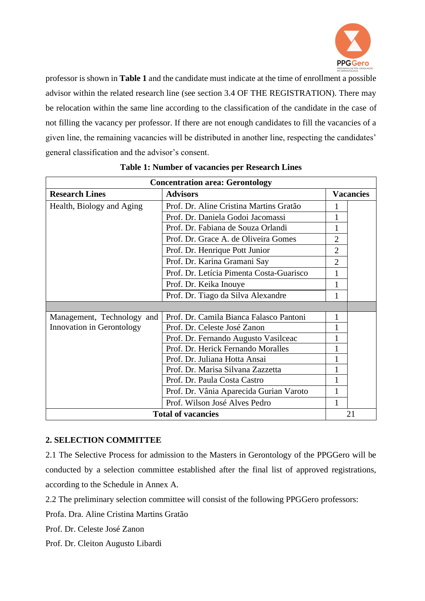

professor is shown in **Table 1** and the candidate must indicate at the time of enrollment a possible advisor within the related research line (see section 3.4 OF THE REGISTRATION). There may be relocation within the same line according to the classification of the candidate in the case of not filling the vacancy per professor. If there are not enough candidates to fill the vacancies of a given line, the remaining vacancies will be distributed in another line, respecting the candidates' general classification and the advisor's consent.

| <b>Concentration area: Gerontology</b> |                                          |                  |  |  |
|----------------------------------------|------------------------------------------|------------------|--|--|
| <b>Research Lines</b>                  | <b>Advisors</b>                          | <b>Vacancies</b> |  |  |
| Health, Biology and Aging              | Prof. Dr. Aline Cristina Martins Gratão  |                  |  |  |
|                                        | Prof. Dr. Daniela Godoi Jacomassi        |                  |  |  |
|                                        | Prof. Dr. Fabiana de Souza Orlandi       |                  |  |  |
|                                        | Prof. Dr. Grace A. de Oliveira Gomes     | $\overline{2}$   |  |  |
|                                        | Prof. Dr. Henrique Pott Junior           | $\overline{2}$   |  |  |
|                                        | Prof. Dr. Karina Gramani Say             | $\overline{2}$   |  |  |
|                                        | Prof. Dr. Letícia Pimenta Costa-Guarisco |                  |  |  |
|                                        | Prof. Dr. Keika Inouye                   |                  |  |  |
|                                        | Prof. Dr. Tiago da Silva Alexandre       |                  |  |  |
|                                        |                                          |                  |  |  |
| Management, Technology and             | Prof. Dr. Camila Bianca Falasco Pantoni  |                  |  |  |
| Innovation in Gerontology              | Prof. Dr. Celeste José Zanon             |                  |  |  |
|                                        | Prof. Dr. Fernando Augusto Vasilceac     |                  |  |  |
|                                        | Prof. Dr. Herick Fernando Moralles       |                  |  |  |
|                                        | Prof. Dr. Juliana Hotta Ansai            |                  |  |  |
|                                        | Prof. Dr. Marisa Silvana Zazzetta        |                  |  |  |
|                                        | Prof. Dr. Paula Costa Castro             | 1                |  |  |
|                                        | Prof. Dr. Vânia Aparecida Gurian Varoto  |                  |  |  |
|                                        | Prof. Wilson José Alves Pedro            | 1                |  |  |
| <b>Total of vacancies</b>              |                                          | 21               |  |  |

|  |  | <b>Table 1: Number of vacancies per Research Lines</b> |  |  |
|--|--|--------------------------------------------------------|--|--|
|  |  |                                                        |  |  |

#### **2. SELECTION COMMITTEE**

2.1 The Selective Process for admission to the Masters in Gerontology of the PPGGero will be conducted by a selection committee established after the final list of approved registrations, according to the Schedule in Annex A.

2.2 The preliminary selection committee will consist of the following PPGGero professors:

Profa. Dra. Aline Cristina Martins Gratão

Prof. Dr. Celeste José Zanon

Prof. Dr. Cleiton Augusto Libardi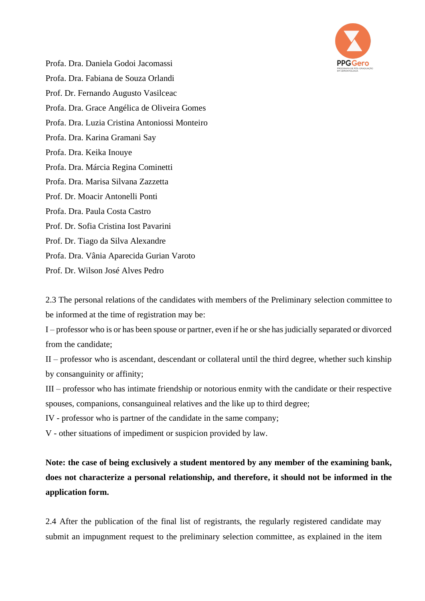

Profa. Dra. Daniela Godoi Jacomassi Profa. Dra. Fabiana de Souza Orlandi Prof. Dr. Fernando Augusto Vasilceac Profa. Dra. Grace Angélica de Oliveira Gomes Profa. Dra. Luzia Cristina Antoniossi Monteiro Profa. Dra. Karina Gramani Say Profa. Dra. Keika Inouye Profa. Dra. Márcia Regina Cominetti Profa. Dra. Marisa Silvana Zazzetta Prof. Dr. Moacir Antonelli Ponti Profa. Dra. Paula Costa Castro Prof. Dr. Sofia Cristina Iost Pavarini Prof. Dr. Tiago da Silva Alexandre Profa. Dra. Vânia Aparecida Gurian Varoto Prof. Dr. Wilson José Alves Pedro

2.3 The personal relations of the candidates with members of the Preliminary selection committee to be informed at the time of registration may be:

I – professor who is or has been spouse or partner, even if he or she has judicially separated or divorced from the candidate;

II – professor who is ascendant, descendant or collateral until the third degree, whether such kinship by consanguinity or affinity;

III – professor who has intimate friendship or notorious enmity with the candidate or their respective spouses, companions, consanguineal relatives and the like up to third degree;

IV - professor who is partner of the candidate in the same company;

V - other situations of impediment or suspicion provided by law.

**Note: the case of being exclusively a student mentored by any member of the examining bank, does not characterize a personal relationship, and therefore, it should not be informed in the application form.**

2.4 After the publication of the final list of registrants, the regularly registered candidate may submit an impugnment request to the preliminary selection committee, as explained in the item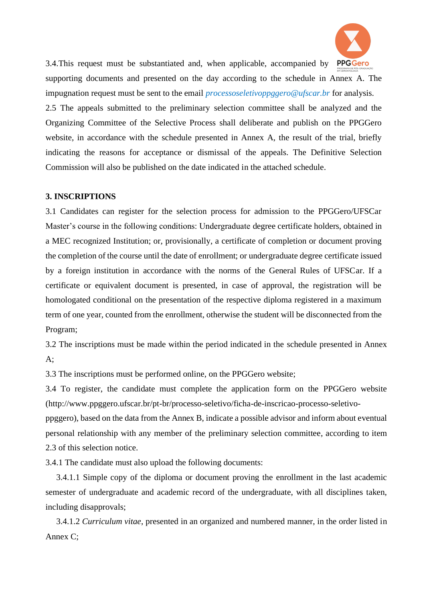

3.4. This request must be substantiated and, when applicable, accompanied by **PPGGero** supporting documents and presented on the day according to the schedule in Annex A. The impugnation request must be sent to the email *processoseletivoppggero@ufscar.br* for analysis. 2.5 The appeals submitted to the preliminary selection committee shall be analyzed and the Organizing Committee of the Selective Process shall deliberate and publish on the PPGGero website, in accordance with the schedule presented in Annex A, the result of the trial, briefly indicating the reasons for acceptance or dismissal of the appeals. The Definitive Selection Commission will also be published on the date indicated in the attached schedule.

#### **3. INSCRIPTIONS**

3.1 Candidates can register for the selection process for admission to the PPGGero/UFSCar Master's course in the following conditions: Undergraduate degree certificate holders, obtained in a MEC recognized Institution; or, provisionally, a certificate of completion or document proving the completion of the course until the date of enrollment; or undergraduate degree certificate issued by a foreign institution in accordance with the norms of the General Rules of UFSCar. If a certificate or equivalent document is presented, in case of approval, the registration will be homologated conditional on the presentation of the respective diploma registered in a maximum term of one year, counted from the enrollment, otherwise the student will be disconnected from the Program;

3.2 The inscriptions must be made within the period indicated in the schedule presented in Annex  $A$ :

3.3 The inscriptions must be performed online, on the PPGGero website;

3.4 To register, the candidate must complete the application form on the PPGGero website (http://www.ppggero.ufscar.br/pt-br/processo-seletivo/ficha-de-inscricao-processo-seletivo-

ppggero), based on the data from the Annex B, indicate a possible advisor and inform about eventual personal relationship with any member of the preliminary selection committee, according to item 2.3 of this selection notice.

3.4.1 The candidate must also upload the following documents:

 3.4.1.1 Simple copy of the diploma or document proving the enrollment in the last academic semester of undergraduate and academic record of the undergraduate, with all disciplines taken, including disapprovals;

 3.4.1.2 *Curriculum vitae*, presented in an organized and numbered manner, in the order listed in Annex C;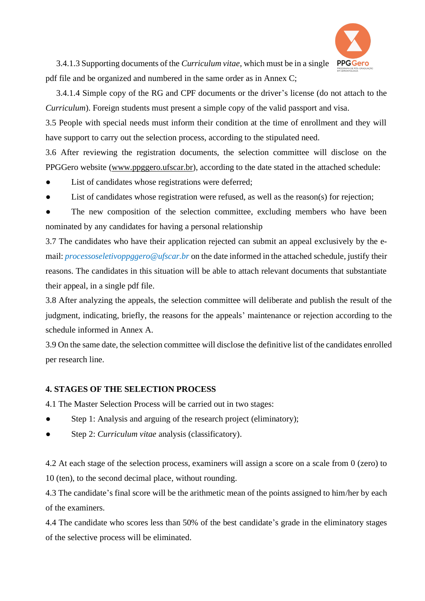

 3.4.1.3 Supporting documents of the *Curriculum vitae*, which must be in a single pdf file and be organized and numbered in the same order as in Annex C;

 3.4.1.4 Simple copy of the RG and CPF documents or the driver's license (do not attach to the *Curriculum*). Foreign students must present a simple copy of the valid passport and visa.

3.5 People with special needs must inform their condition at the time of enrollment and they will have support to carry out the selection process, according to the stipulated need.

3.6 After reviewing the registration documents, the selection committee will disclose on the PPGGero website [\(www.ppggero.ufscar.br\)](http://www.ppggero.ufscar.br/), according to the date stated in the attached schedule:

- List of candidates whose registrations were deferred;
- List of candidates whose registration were refused, as well as the reason(s) for rejection;
- The new composition of the selection committee, excluding members who have been nominated by any candidates for having a personal relationship

3.7 The candidates who have their application rejected can submit an appeal exclusively by the email: *processoseletivoppggero@ufscar.br* on the date informed in the attached schedule, justify their reasons. The candidates in this situation will be able to attach relevant documents that substantiate their appeal, in a single pdf file.

3.8 After analyzing the appeals, the selection committee will deliberate and publish the result of the judgment, indicating, briefly, the reasons for the appeals' maintenance or rejection according to the schedule informed in Annex A.

3.9 On the same date, the selection committee will disclose the definitive list of the candidates enrolled per research line.

## **4. STAGES OF THE SELECTION PROCESS**

4.1 The Master Selection Process will be carried out in two stages:

- Step 1: Analysis and arguing of the research project (eliminatory);
- Step 2: *Curriculum vitae* analysis (classificatory).

4.2 At each stage of the selection process, examiners will assign a score on a scale from 0 (zero) to 10 (ten), to the second decimal place, without rounding.

4.3 The candidate's final score will be the arithmetic mean of the points assigned to him/her by each of the examiners.

4.4 The candidate who scores less than 50% of the best candidate's grade in the eliminatory stages of the selective process will be eliminated.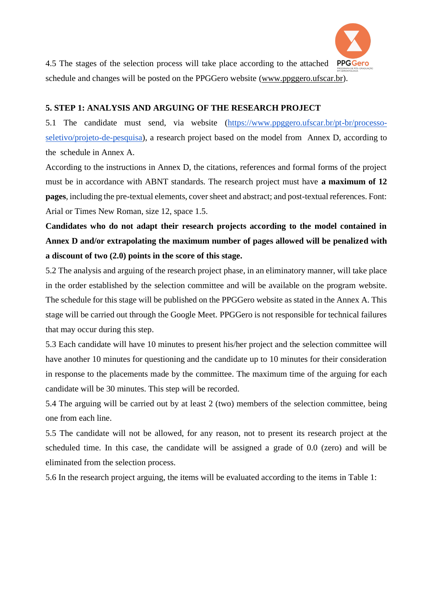

4.5 The stages of the selection process will take place according to the attached **PPGGero** schedule and changes will be posted on the PPGGero website [\(www.ppggero.ufscar.br\)](http://www.ppggero.ufscar.br/).

#### **5. STEP 1: ANALYSIS AND ARGUING OF THE RESEARCH PROJECT**

5.1 The candidate must send, via website [\(https://www.ppggero.ufscar.br/pt-br/processo](https://www.ppggero.ufscar.br/pt-br/processo-seletivo/projeto-de-pesquisa)[seletivo/projeto-de-pesquisa\)](https://www.ppggero.ufscar.br/pt-br/processo-seletivo/projeto-de-pesquisa), a research project based on the model from Annex D, according to the schedule in Annex A.

According to the instructions in Annex D, the citations, references and formal forms of the project must be in accordance with ABNT standards. The research project must have **a maximum of 12 pages**, including the pre-textual elements, cover sheet and abstract; and post-textual references. Font: Arial or Times New Roman, size 12, space 1.5.

# **Candidates who do not adapt their research projects according to the model contained in Annex D and/or extrapolating the maximum number of pages allowed will be penalized with a discount of two (2.0) points in the score of this stage.**

5.2 The analysis and arguing of the research project phase, in an eliminatory manner, will take place in the order established by the selection committee and will be available on the program website. The schedule for this stage will be published on the PPGGero website as stated in the Annex A. This stage will be carried out through the Google Meet. PPGGero is not responsible for technical failures that may occur during this step.

5.3 Each candidate will have 10 minutes to present his/her project and the selection committee will have another 10 minutes for questioning and the candidate up to 10 minutes for their consideration in response to the placements made by the committee. The maximum time of the arguing for each candidate will be 30 minutes. This step will be recorded.

5.4 The arguing will be carried out by at least 2 (two) members of the selection committee, being one from each line.

5.5 The candidate will not be allowed, for any reason, not to present its research project at the scheduled time. In this case, the candidate will be assigned a grade of 0.0 (zero) and will be eliminated from the selection process.

5.6 In the research project arguing, the items will be evaluated according to the items in Table 1: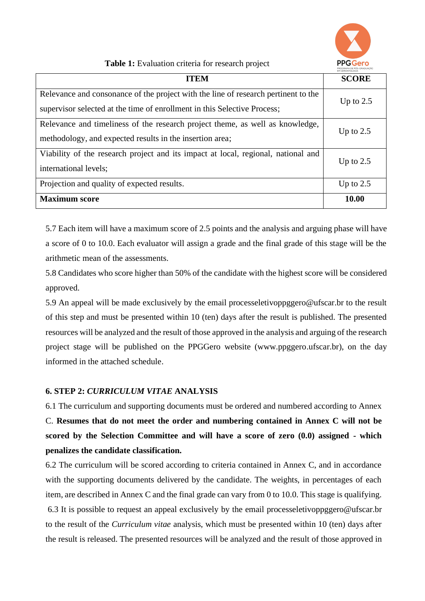

**Table 1:** Evaluation criteria for research project

| <b>ITEM</b>                                                                                                                                                    | EM GERONTOLOGIA<br><b>SCORE</b> |
|----------------------------------------------------------------------------------------------------------------------------------------------------------------|---------------------------------|
| Relevance and consonance of the project with the line of research pertinent to the<br>supervisor selected at the time of enrollment in this Selective Process; | Up to $2.5$                     |
| Relevance and timeliness of the research project theme, as well as knowledge,<br>methodology, and expected results in the insertion area;                      | Up to $2.5$                     |
| Viability of the research project and its impact at local, regional, national and<br>international levels;                                                     | Up to $2.5$                     |
| Projection and quality of expected results.                                                                                                                    | Up to $2.5$                     |
| <b>Maximum</b> score                                                                                                                                           | 10.00                           |

5.7 Each item will have a maximum score of 2.5 points and the analysis and arguing phase will have a score of 0 to 10.0. Each evaluator will assign a grade and the final grade of this stage will be the arithmetic mean of the assessments.

5.8 Candidates who score higher than 50% of the candidate with the highest score will be considered approved.

5.9 An appeal will be made exclusively by the email processeletivoppggero@ufscar.br to the result of this step and must be presented within 10 (ten) days after the result is published. The presented resources will be analyzed and the result of those approved in the analysis and arguing of the research project stage will be published on the PPGGero website (www.ppggero.ufscar.br), on the day informed in the attached schedule.

## **6. STEP 2:** *CURRICULUM VITAE* **ANALYSIS**

6.1 The curriculum and supporting documents must be ordered and numbered according to Annex C. **Resumes that do not meet the order and numbering contained in Annex C will not be scored by the Selection Committee and will have a score of zero (0.0) assigned - which penalizes the candidate classification.**

6.2 The curriculum will be scored according to criteria contained in Annex C, and in accordance with the supporting documents delivered by the candidate. The weights, in percentages of each item, are described in Annex C and the final grade can vary from 0 to 10.0. This stage is qualifying. 6.3 It is possible to request an appeal exclusively by the email processeletivoppggero@ufscar.br to the result of the *Curriculum vitae* analysis, which must be presented within 10 (ten) days after the result is released. The presented resources will be analyzed and the result of those approved in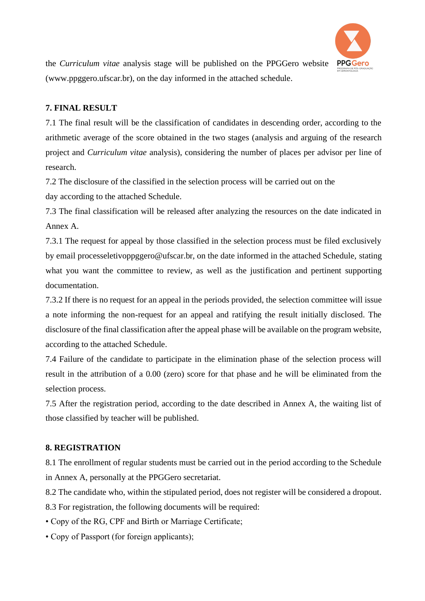

the *Curriculum vitae* analysis stage will be published on the PPGGero website (www.ppggero.ufscar.br), on the day informed in the attached schedule.

#### **7. FINAL RESULT**

7.1 The final result will be the classification of candidates in descending order, according to the arithmetic average of the score obtained in the two stages (analysis and arguing of the research project and *Curriculum vitae* analysis), considering the number of places per advisor per line of research.

7.2 The disclosure of the classified in the selection process will be carried out on the

day according to the attached Schedule.

7.3 The final classification will be released after analyzing the resources on the date indicated in Annex A.

7.3.1 The request for appeal by those classified in the selection process must be filed exclusively by email processeletivoppggero@ufscar.br, on the date informed in the attached Schedule, stating what you want the committee to review, as well as the justification and pertinent supporting documentation.

7.3.2 If there is no request for an appeal in the periods provided, the selection committee will issue a note informing the non-request for an appeal and ratifying the result initially disclosed. The disclosure of the final classification after the appeal phase will be available on the program website, according to the attached Schedule.

7.4 Failure of the candidate to participate in the elimination phase of the selection process will result in the attribution of a 0.00 (zero) score for that phase and he will be eliminated from the selection process.

7.5 After the registration period, according to the date described in Annex A, the waiting list of those classified by teacher will be published.

#### **8. REGISTRATION**

8.1 The enrollment of regular students must be carried out in the period according to the Schedule in Annex A, personally at the PPGGero secretariat.

8.2 The candidate who, within the stipulated period, does not register will be considered a dropout.

8.3 For registration, the following documents will be required:

- Copy of the RG, CPF and Birth or Marriage Certificate;
- Copy of Passport (for foreign applicants);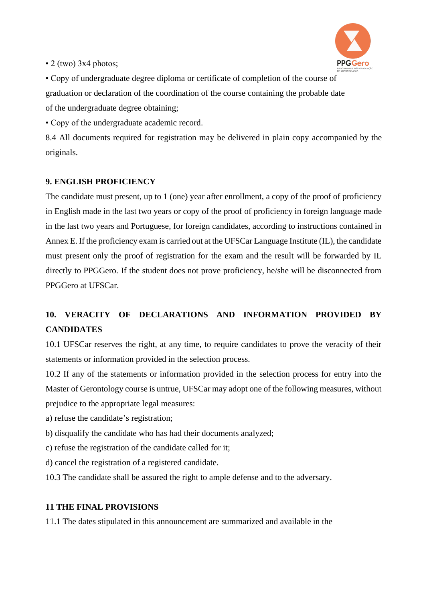

• 2 (two) 3x4 photos;

• Copy of undergraduate degree diploma or certificate of completion of the course of graduation or declaration of the coordination of the course containing the probable date of the undergraduate degree obtaining;

• Copy of the undergraduate academic record.

8.4 All documents required for registration may be delivered in plain copy accompanied by the originals.

## **9. ENGLISH PROFICIENCY**

The candidate must present, up to 1 (one) year after enrollment, a copy of the proof of proficiency in English made in the last two years or copy of the proof of proficiency in foreign language made in the last two years and Portuguese, for foreign candidates, according to instructions contained in Annex E. If the proficiency exam is carried out at the UFSCar Language Institute (IL), the candidate must present only the proof of registration for the exam and the result will be forwarded by IL directly to PPGGero. If the student does not prove proficiency, he/she will be disconnected from PPGGero at UFSCar.

## **10. VERACITY OF DECLARATIONS AND INFORMATION PROVIDED BY CANDIDATES**

10.1 UFSCar reserves the right, at any time, to require candidates to prove the veracity of their statements or information provided in the selection process.

10.2 If any of the statements or information provided in the selection process for entry into the Master of Gerontology course is untrue, UFSCar may adopt one of the following measures, without prejudice to the appropriate legal measures:

- a) refuse the candidate's registration;
- b) disqualify the candidate who has had their documents analyzed;
- c) refuse the registration of the candidate called for it;
- d) cancel the registration of a registered candidate.
- 10.3 The candidate shall be assured the right to ample defense and to the adversary.

## **11 THE FINAL PROVISIONS**

11.1 The dates stipulated in this announcement are summarized and available in the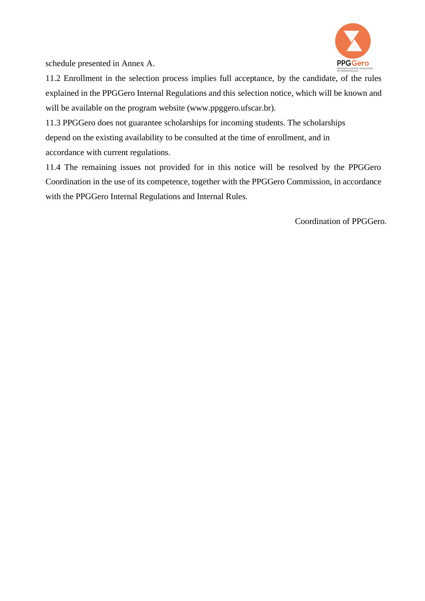

schedule presented in Annex A.

11.2 Enrollment in the selection process implies full acceptance, by the candidate, of the rules explained in the PPGGero Internal Regulations and this selection notice, which will be known and will be available on the program website (www.ppggero.ufscar.br).

11.3 PPGGero does not guarantee scholarships for incoming students. The scholarships depend on the existing availability to be consulted at the time of enrollment, and in accordance with current regulations.

11.4 The remaining issues not provided for in this notice will be resolved by the PPGGero Coordination in the use of its competence, together with the PPGGero Commission, in accordance with the PPGGero Internal Regulations and Internal Rules.

Coordination of PPGGero.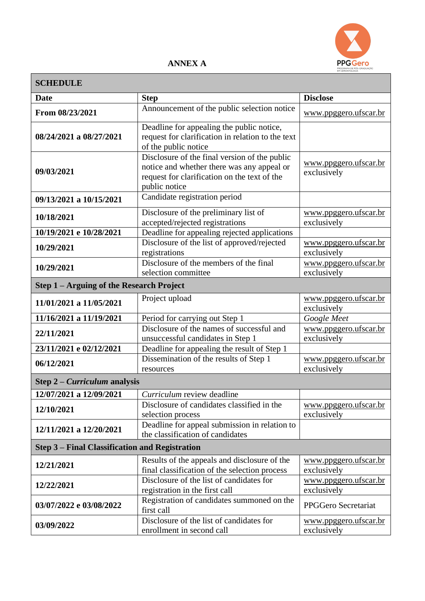

## **ANNEX A**

| <b>SCHEDULE</b>                                       |                                                                                                                                                              |                                             |  |  |  |
|-------------------------------------------------------|--------------------------------------------------------------------------------------------------------------------------------------------------------------|---------------------------------------------|--|--|--|
| <b>Date</b>                                           | <b>Step</b>                                                                                                                                                  | <b>Disclose</b>                             |  |  |  |
| From 08/23/2021                                       | Announcement of the public selection notice                                                                                                                  | www.ppggero.ufscar.br                       |  |  |  |
| 08/24/2021 a 08/27/2021                               | Deadline for appealing the public notice,<br>request for clarification in relation to the text<br>of the public notice                                       |                                             |  |  |  |
| 09/03/2021                                            | Disclosure of the final version of the public<br>notice and whether there was any appeal or<br>request for clarification on the text of the<br>public notice | www.ppggero.ufscar.br<br>exclusively        |  |  |  |
| 09/13/2021 a 10/15/2021                               | Candidate registration period                                                                                                                                |                                             |  |  |  |
| 10/18/2021                                            | Disclosure of the preliminary list of<br>accepted/rejected registrations                                                                                     | www.ppggero.ufscar.br<br>exclusively        |  |  |  |
| 10/19/2021 e 10/28/2021                               | Deadline for appealing rejected applications                                                                                                                 |                                             |  |  |  |
| 10/29/2021                                            | Disclosure of the list of approved/rejected<br>registrations                                                                                                 | www.ppggero.ufscar.br<br>exclusively        |  |  |  |
| 10/29/2021                                            | Disclosure of the members of the final<br>selection committee                                                                                                | www.ppggero.ufscar.br<br>exclusively        |  |  |  |
| Step 1 – Arguing of the Research Project              |                                                                                                                                                              |                                             |  |  |  |
| 11/01/2021 a 11/05/2021                               | Project upload                                                                                                                                               | www.ppggero.ufscar.br<br>exclusively        |  |  |  |
| 11/16/2021 a 11/19/2021                               | Period for carrying out Step 1                                                                                                                               | Google Meet                                 |  |  |  |
| 22/11/2021                                            | Disclosure of the names of successful and<br>unsuccessful candidates in Step 1                                                                               | www.ppggero.ufscar.br<br>exclusively        |  |  |  |
| 23/11/2021 e 02/12/2021                               | Deadline for appealing the result of Step 1                                                                                                                  |                                             |  |  |  |
| 06/12/2021                                            | Dissemination of the results of Step 1<br>resources                                                                                                          | www.ppggero.ufscar.br<br>exclusively        |  |  |  |
| Step $2$ – <i>Curriculum</i> analysis                 |                                                                                                                                                              |                                             |  |  |  |
| 12/07/2021 a 12/09/2021                               | Curriculum review deadline                                                                                                                                   |                                             |  |  |  |
| 12/10/2021                                            | Disclosure of candidates classified in the<br>selection process                                                                                              | www.ppggero.ufscar.br<br>exclusively        |  |  |  |
| 12/11/2021 a 12/20/2021                               | Deadline for appeal submission in relation to<br>the classification of candidates                                                                            |                                             |  |  |  |
| <b>Step 3 – Final Classification and Registration</b> |                                                                                                                                                              |                                             |  |  |  |
| 12/21/2021                                            | Results of the appeals and disclosure of the<br>final classification of the selection process                                                                | www.ppggero.ufscar.br<br>exclusively        |  |  |  |
| 12/22/2021                                            | Disclosure of the list of candidates for<br>registration in the first call                                                                                   | www.ppggero.ufscar.br<br>exclusively        |  |  |  |
| 03/07/2022 e 03/08/2022                               | Registration of candidates summoned on the<br>first call                                                                                                     | PPGGero Secretariat                         |  |  |  |
| 03/09/2022                                            | Disclosure of the list of candidates for<br>enrollment in second call                                                                                        | <u>www.ppggero.ufscar.br</u><br>exclusively |  |  |  |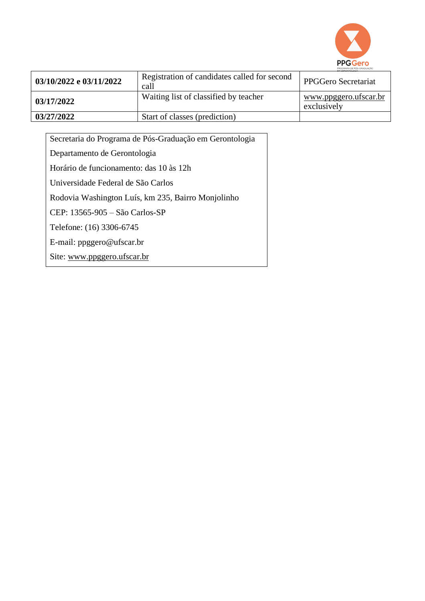

| 03/10/2022 e 03/11/2022 | Registration of candidates called for second<br>call | PPGGero Secretariat                  |
|-------------------------|------------------------------------------------------|--------------------------------------|
| 03/17/2022              | Waiting list of classified by teacher                | www.ppggero.ufscar.br<br>exclusively |
| 03/27/2022              | Start of classes (prediction)                        |                                      |

| Secretaria do Programa de Pós-Graduação em Gerontologia |
|---------------------------------------------------------|
| Departamento de Gerontologia                            |
| Horário de funcionamento: das 10 às 12h                 |
| Universidade Federal de São Carlos                      |
| Rodovia Washington Luís, km 235, Bairro Monjolinho      |
| CEP: 13565-905 - São Carlos-SP                          |
| Telefone: (16) 3306-6745                                |
| E-mail: $ppggero@ufscar.br$                             |
| Site: www.ppggero.ufscar.br                             |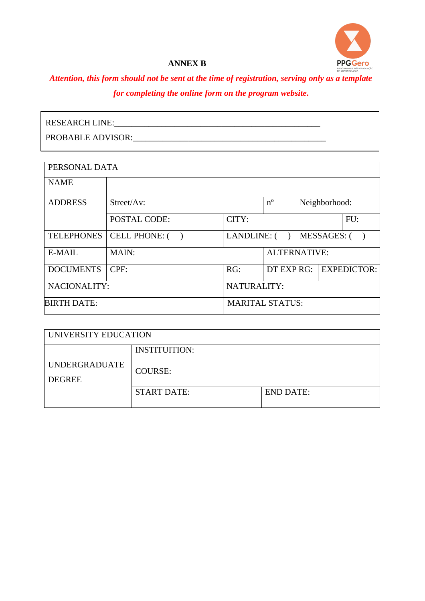

#### **ANNEX B**

# *Attention, this form should not be sent at the time of registration, serving only as a template for completing the online form on the program website.*

| <b>RESEARCH LINE:</b>    |  |
|--------------------------|--|
| <b>PROBABLE ADVISOR:</b> |  |

| PERSONAL DATA      |                       |                        |             |                    |                    |
|--------------------|-----------------------|------------------------|-------------|--------------------|--------------------|
| <b>NAME</b>        |                       |                        |             |                    |                    |
| <b>ADDRESS</b>     | $Street/Av$ :         |                        | $n^{\circ}$ |                    | Neighborhood:      |
|                    | <b>POSTAL CODE:</b>   | CITY:                  |             |                    | FU:                |
| <b>TELEPHONES</b>  | <b>CELL PHONE: (</b>  | LANDLINE: (            |             | <b>MESSAGES: (</b> |                    |
| E-MAIL             | MAIN:<br>ALTERNATIVE: |                        |             |                    |                    |
| <b>DOCUMENTS</b>   | CPF:                  | RG:                    | DT EXP RG:  |                    | <b>EXPEDICTOR:</b> |
| NACIONALITY:       | NATURALITY:           |                        |             |                    |                    |
| <b>BIRTH DATE:</b> |                       | <b>MARITAL STATUS:</b> |             |                    |                    |

| UNIVERSITY EDUCATION                  |                                        |                  |  |
|---------------------------------------|----------------------------------------|------------------|--|
| <b>UNDERGRADUATE</b><br><b>DEGREE</b> | <b>INSTITUITION:</b><br><b>COURSE:</b> |                  |  |
|                                       | <b>START DATE:</b>                     | <b>END DATE:</b> |  |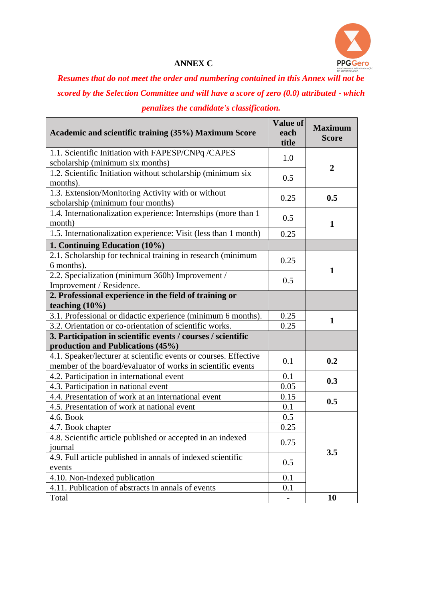

## **ANNEX C**

*Resumes that do not meet the order and numbering contained in this Annex will not be scored by the Selection Committee and will have a score of zero (0.0) attributed - which penalizes the candidate's classification.*

| Academic and scientific training (35%) Maximum Score                                                                            | Value of<br>each<br>title | <b>Maximum</b><br><b>Score</b> |  |
|---------------------------------------------------------------------------------------------------------------------------------|---------------------------|--------------------------------|--|
| 1.1. Scientific Initiation with FAPESP/CNPq /CAPES<br>scholarship (minimum six months)                                          | 1.0                       |                                |  |
| 1.2. Scientific Initiation without scholarship (minimum six<br>months).                                                         | 0.5                       | $\overline{2}$                 |  |
| 1.3. Extension/Monitoring Activity with or without<br>scholarship (minimum four months)                                         | 0.25                      | 0.5                            |  |
| 1.4. Internationalization experience: Internships (more than 1<br>month)                                                        | 0.5                       | $\mathbf 1$                    |  |
| 1.5. Internationalization experience: Visit (less than 1 month)                                                                 | 0.25                      |                                |  |
| 1. Continuing Education (10%)                                                                                                   |                           |                                |  |
| 2.1. Scholarship for technical training in research (minimum<br>6 months).                                                      | 0.25                      | 1                              |  |
| 2.2. Specialization (minimum 360h) Improvement /<br>Improvement / Residence.                                                    | 0.5                       |                                |  |
| 2. Professional experience in the field of training or<br>teaching $(10\%)$                                                     |                           |                                |  |
| 3.1. Professional or didactic experience (minimum 6 months).                                                                    | 0.25                      | $\mathbf{1}$                   |  |
| 3.2. Orientation or co-orientation of scientific works.                                                                         | 0.25                      |                                |  |
| 3. Participation in scientific events / courses / scientific<br>production and Publications (45%)                               |                           |                                |  |
| 4.1. Speaker/lecturer at scientific events or courses. Effective<br>member of the board/evaluator of works in scientific events | 0.1                       | 0.2                            |  |
| 4.2. Participation in international event                                                                                       | 0.1                       | 0.3                            |  |
| 4.3. Participation in national event                                                                                            | 0.05                      |                                |  |
| 4.4. Presentation of work at an international event                                                                             | 0.15                      | 0.5                            |  |
| 4.5. Presentation of work at national event                                                                                     | 0.1                       |                                |  |
| 4.6. Book                                                                                                                       | 0.5                       |                                |  |
| 4.7. Book chapter                                                                                                               | 0.25                      |                                |  |
| 4.8. Scientific article published or accepted in an indexed<br>journal                                                          | 0.75                      | 3.5                            |  |
| 4.9. Full article published in annals of indexed scientific<br>events                                                           | 0.5                       |                                |  |
| 4.10. Non-indexed publication                                                                                                   | 0.1                       |                                |  |
| 4.11. Publication of abstracts in annals of events                                                                              | 0.1                       |                                |  |
| Total                                                                                                                           |                           | 10                             |  |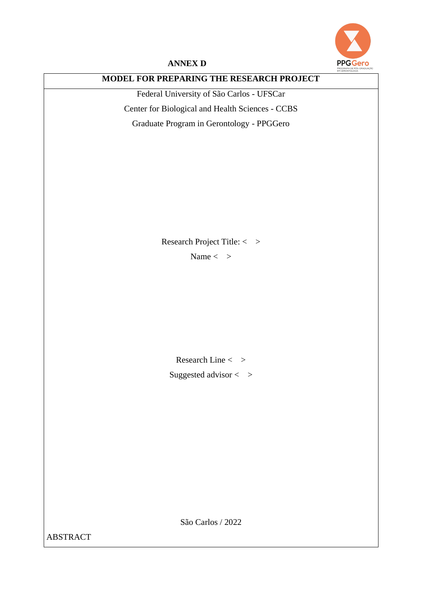

#### **ANNEX D**

## **MODEL FOR PREPARING THE RESEARCH PROJECT**

Federal University of São Carlos - UFSCar Center for Biological and Health Sciences - CCBS Graduate Program in Gerontology - PPGGero

Research Project Title: < >

Name  $\langle >$ 

Research Line  $\langle >$ Suggested advisor  $\langle \rangle$ 

São Carlos / 2022

ABSTRACT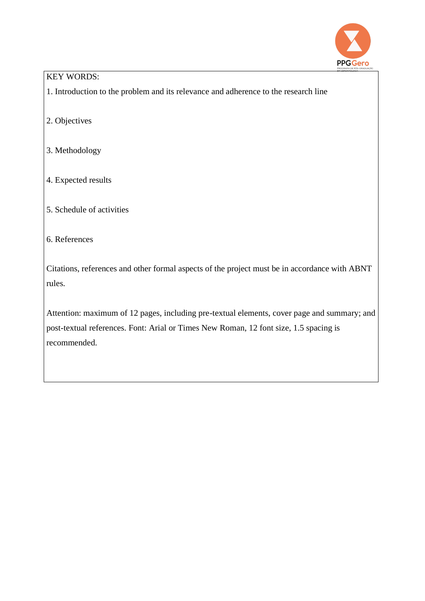

### KEY WORDS:

1. Introduction to the problem and its relevance and adherence to the research line

- 2. Objectives
- 3. Methodology
- 4. Expected results
- 5. Schedule of activities

### 6. References

Citations, references and other formal aspects of the project must be in accordance with ABNT rules.

Attention: maximum of 12 pages, including pre-textual elements, cover page and summary; and post-textual references. Font: Arial or Times New Roman, 12 font size, 1.5 spacing is recommended.